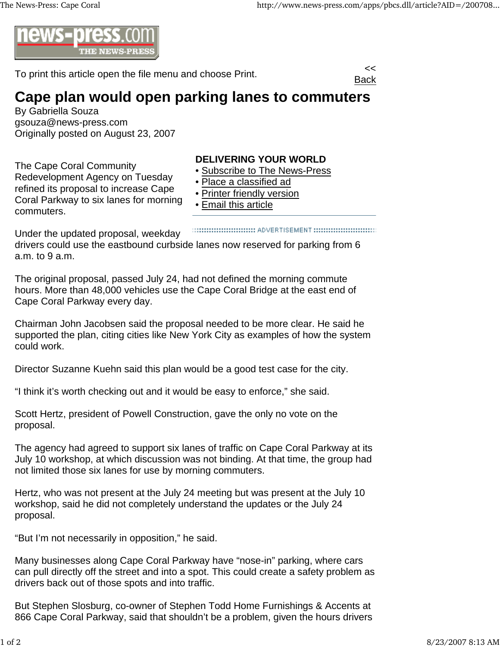

To print this article open the file menu and choose Print.



## **Cape plan would open parking lanes to commuters**

By Gabriella Souza gsouza@news-press.com Originally posted on August 23, 2007

The Cape Coral Community Redevelopment Agency on Tuesday refined its proposal to increase Cape Coral Parkway to six lanes for morning commuters.

## **DELIVERING YOUR WORLD**

- Subscribe to The News-Press
- Place a classified ad
- Printer friendly version
- Email this article

Under the updated proposal, weekday drivers could use the eastbound curbside lanes now reserved for parking from 6 a.m. to 9 a.m.

The original proposal, passed July 24, had not defined the morning commute hours. More than 48,000 vehicles use the Cape Coral Bridge at the east end of Cape Coral Parkway every day.

Chairman John Jacobsen said the proposal needed to be more clear. He said he supported the plan, citing cities like New York City as examples of how the system could work.

Director Suzanne Kuehn said this plan would be a good test case for the city.

"I think it's worth checking out and it would be easy to enforce," she said.

Scott Hertz, president of Powell Construction, gave the only no vote on the proposal.

The agency had agreed to support six lanes of traffic on Cape Coral Parkway at its July 10 workshop, at which discussion was not binding. At that time, the group had not limited those six lanes for use by morning commuters.

Hertz, who was not present at the July 24 meeting but was present at the July 10 workshop, said he did not completely understand the updates or the July 24 proposal.

"But I'm not necessarily in opposition," he said.

Many businesses along Cape Coral Parkway have "nose-in" parking, where cars can pull directly off the street and into a spot. This could create a safety problem as drivers back out of those spots and into traffic.

But Stephen Slosburg, co-owner of Stephen Todd Home Furnishings & Accents at 866 Cape Coral Parkway, said that shouldn't be a problem, given the hours drivers